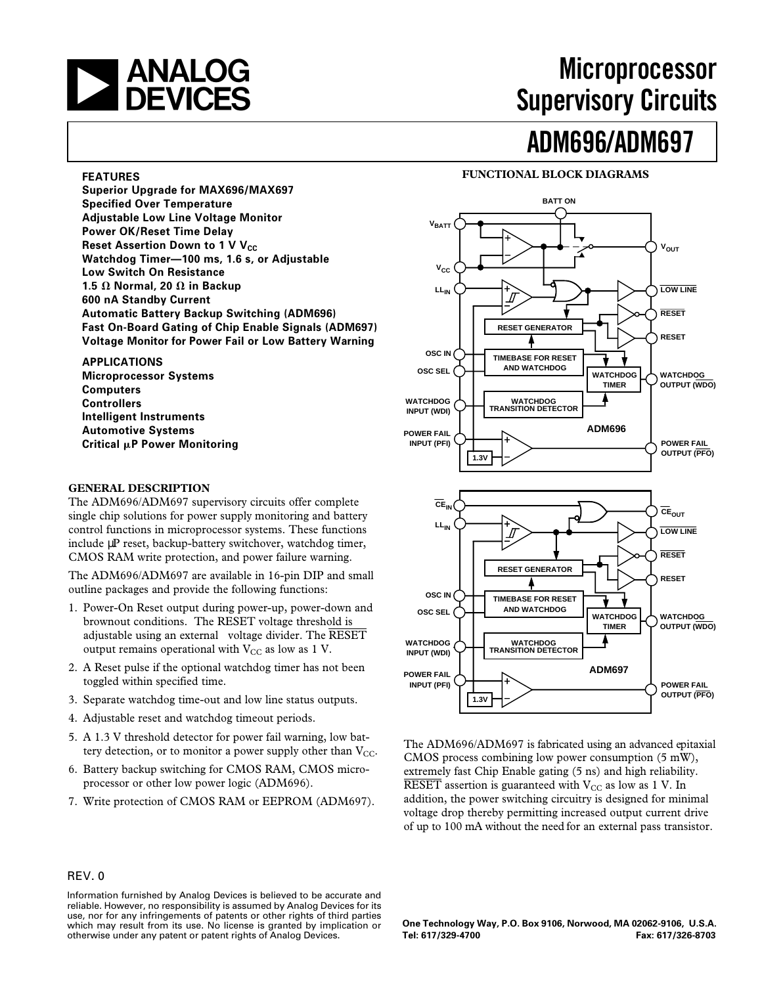# **and Supervisory CONTAINS ANALOG**<br>**A DEVICES CONTAINS Supervisory Circuits Supervisory Circuits**

# **ADM696/ADM697**

#### **FUNCTIONAL BLOCK DIAGRAMS**

**1.3V**  $V_{OUT}$ **V**BATT  $V_{\text{CC}}$ **WATCHDOG INPUT (WDI) POWER FAIL POWER FAIL OUTPUT (PFO) RESET WATCHDOG TIMER BATT ON OSC IN** OSC SEL  $\bigcirc$  - LAND WATCHDOG **SEL AND WATCHDOG OUTPUT (WDO) RESET**  $L_{\text{in}}$   $\bigcirc$   $\longrightarrow$   $+$   $\searrow$   $\qquad \searrow$   $\qquad \searrow$   $\qquad \searrow$   $\qquad \searrow$   $\qquad \searrow$   $\qquad \searrow$   $\qquad \searrow$   $\qquad \searrow$   $\qquad \searrow$   $\qquad \searrow$   $\qquad \searrow$   $\qquad \searrow$   $\qquad \searrow$   $\qquad \searrow$   $\qquad \searrow$   $\qquad \searrow$   $\qquad \searrow$   $\qquad \searrow$   $\qquad \searrow$   $\qquad \searrow$   $\qquad \searrow$  **RESET GENERATOR TIMEBASE FOR RESET AND WATCHDOG WATCHDOG TRANSITION DETECTOR ADM696 1.3V**  $\overline{\text{CE}}_{\text{OUT}}$ **WATCHDOG INPUT (WDI) POWER FAIL INPUT (PFI)**  $\sqrt{1 - 1}$   $\sqrt{1 - 1}$   $\sqrt{1 - 1}$   $\sqrt{1 - 1}$   $\sqrt{1 - 1}$   $\sqrt{1 - 1}$   $\sqrt{1 - 1}$ **OUTPUT (PFO) RESET WATCHDOG TIMER OSC IN** OSC SEL  $\bigcirc$  - **AND WATCHDOG** FOR THE MATCHDOG **OUTPUT (WDO) RESET** LL<sub>IN</sub> **RESET GENERATOR TIMEBASE FOR RESET AND WATCHDOG WATCHDOG TRANSITION DETECTOR ADM697** CE<sub>IN</sub>

The ADM696/ADM697 is fabricated using an advanced epitaxial CMOS process combining low power consumption (5 mW), extremely fast Chip Enable gating (5 ns) and high reliability. RESET assertion is guaranteed with  $V_{CC}$  as low as 1 V. In addition, the power switching circuitry is designed for minimal voltage drop thereby permitting increased output current drive of up to 100 mA without the need for an external pass transistor.

**One Technology Way, P.O. Box 9106, Norwood, MA 02062-9106, U.S.A. Tel: 617/329-4700 Fax: 617/326-8703**

#### **FEATURES**

**Superior Upgrade for MAX696/MAX697 Specified Over Temperature Adjustable Low Line Voltage Monitor Power OK/Reset Time Delay Reset Assertion Down to 1 V V<sub>CC</sub> Watchdog Timer—100 ms, 1.6 s, or Adjustable Low Switch On Resistance 1.5**  $\Omega$  **Normal, 20**  $\Omega$  **in Backup 600 nA Standby Current Automatic Battery Backup Switching (ADM696) Fast On-Board Gating of Chip Enable Signals (ADM697) Voltage Monitor for Power Fail or Low Battery Warning**

**APPLICATIONS Microprocessor Systems Computers Controllers**

**Intelligent Instruments Automotive Systems Critical** m**P Power Monitoring**

#### **GENERAL DESCRIPTION**

The ADM696/ADM697 supervisory circuits offer complete single chip solutions for power supply monitoring and battery control functions in microprocessor systems. These functions include µP reset, backup-battery switchover, watchdog timer, CMOS RAM write protection, and power failure warning.

The ADM696/ADM697 are available in 16-pin DIP and small outline packages and provide the following functions:

- 1. Power-On Reset output during power-up, power-down and brownout conditions. The RESET voltage threshold is adjustable using an external voltage divider. The  $\overline{\text{RESET}}$ output remains operational with  $V_{CC}$  as low as 1 V.
- 2. A Reset pulse if the optional watchdog timer has not been toggled within specified time.
- 3. Separate watchdog time-out and low line status outputs.
- 4. Adjustable reset and watchdog timeout periods.
- 5. A 1.3 V threshold detector for power fail warning, low battery detection, or to monitor a power supply other than  $V_{CC}$ .
- 6. Battery backup switching for CMOS RAM, CMOS microprocessor or other low power logic (ADM696).
- 7. Write protection of CMOS RAM or EEPROM (ADM697).

#### REV. 0

Information furnished by Analog Devices is believed to be accurate and reliable. However, no responsibility is assumed by Analog Devices for its use, nor for any infringements of patents or other rights of third parties which may result from its use. No license is granted by implication or otherwise under any patent or patent rights of Analog Devices.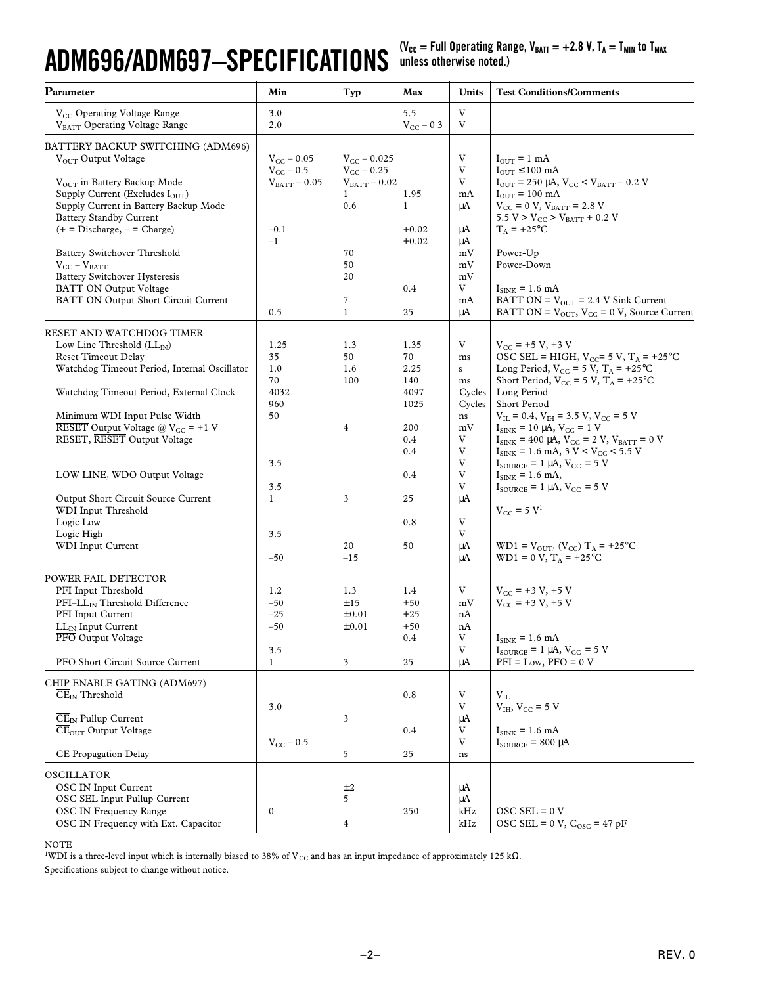# **ADM696/ADM697–SPECIFICATIONS**

(V<sub>CC</sub> = Full Operating Range, V<sub>BATT</sub> = +2.8 V, T<sub>A</sub> = T<sub>MIN</sub> to T<sub>MAX</sub> **unless otherwise noted.)**

| Parameter                                                      | Min                               | Typ                                      | Max            | Units        | <b>Test Conditions/Comments</b>                                                                |
|----------------------------------------------------------------|-----------------------------------|------------------------------------------|----------------|--------------|------------------------------------------------------------------------------------------------|
| V <sub>CC</sub> Operating Voltage Range                        | 3.0                               |                                          | 5.5            | V            |                                                                                                |
| VBATT Operating Voltage Range                                  | 2.0                               |                                          | $V_{CC}$ – 0 3 | V            |                                                                                                |
|                                                                |                                   |                                          |                |              |                                                                                                |
| BATTERY BACKUP SWITCHING (ADM696)                              |                                   |                                          |                |              |                                                                                                |
| VOUT Output Voltage                                            | $V_{CC}$ – 0.05<br>$V_{CC}$ – 0.5 | $V_{CC}$ – 0.025                         |                | V<br>V       | $I_{\text{OUT}} = 1$ mA<br>$I_{OUT} \leq 100$ mA                                               |
| V <sub>OUT</sub> in Battery Backup Mode                        | $\rm V_{BATT} - 0.05$             | $V_{\rm CC}$ – 0.25<br>$V_{BATT} - 0.02$ |                | V            | $I_{\text{OUT}}$ = 250 µA, $V_{\text{CC}}$ < $V_{\text{BATT}}$ – 0.2 V                         |
| Supply Current (Excludes $I_{\text{OUT}}$ )                    |                                   | $\mathbf{1}$                             | 1.95           | mA           | $I_{\text{OUT}}$ = 100 mA                                                                      |
| Supply Current in Battery Backup Mode                          |                                   | 0.6                                      | $\mathbf{1}$   | μA           | $V_{\text{CC}} = 0 V, V_{\text{BATT}} = 2.8 V$                                                 |
| <b>Battery Standby Current</b>                                 |                                   |                                          |                |              | $5.5 V > V_{CC} > V_{BATT} + 0.2 V$                                                            |
| $(+ = Discharge, - = Charge)$                                  | $-0.1$                            |                                          | $+0.02$        | μA           | $T_A$ = +25°C                                                                                  |
|                                                                | $-1$                              |                                          | $+0.02$        | μA           |                                                                                                |
| <b>Battery Switchover Threshold</b>                            |                                   | 70                                       |                | mV           | Power-Up                                                                                       |
| $V_{CC} - V_{BATT}$                                            |                                   | 50                                       |                | mV           | Power-Down                                                                                     |
| <b>Battery Switchover Hysteresis</b>                           |                                   | 20                                       |                | mV           |                                                                                                |
| BATT ON Output Voltage<br>BATT ON Output Short Circuit Current |                                   | 7                                        | 0.4            | V            | $I_{\text{SINK}}$ = 1.6 mA<br>BATT ON = $V_{\text{OUT}}$ = 2.4 V Sink Current                  |
|                                                                | 0.5                               | $\mathbf{1}$                             | 25             | mA<br>μA     | BATT ON = $V_{OUT}$ , $V_{CC}$ = 0 V, Source Current                                           |
|                                                                |                                   |                                          |                |              |                                                                                                |
| RESET AND WATCHDOG TIMER                                       |                                   |                                          |                |              |                                                                                                |
| Low Line Threshold $(LL_N)$                                    | 1.25                              | 1.3                                      | 1.35           | V            | $V_{CC}$ = +5 V, +3 V                                                                          |
| <b>Reset Timeout Delay</b>                                     | 35                                | 50                                       | 70             | ms           | OSC SEL = HIGH, $V_{CC}$ = 5 V, $T_A$ = +25°C                                                  |
| Watchdog Timeout Period, Internal Oscillator                   | 1.0                               | 1.6                                      | 2.25           | $\mathbf S$  | Long Period, $V_{CC} = 5 V$ , $T_A = +25°C$                                                    |
|                                                                | 70                                | 100                                      | 140            | ms           | Short Period, $V_{CC} = 5 V$ , $T_A = +25°C$                                                   |
| Watchdog Timeout Period, External Clock                        | 4032                              |                                          | 4097           | Cycles       | Long Period                                                                                    |
| Minimum WDI Input Pulse Width                                  | 960<br>50                         |                                          | 1025           | Cycles<br>ns | Short Period<br>$V_{IL}$ = 0.4, $V_{IH}$ = 3.5 V, $V_{CC}$ = 5 V                               |
| RESET Output Voltage @ $V_{CC}$ = +1 V                         |                                   | 4                                        | 200            | mV           | $I_{\text{SINK}} = 10 \mu A, V_{\text{CC}} = 1 V$                                              |
| RESET, RESET Output Voltage                                    |                                   |                                          | 0.4            | V            | $I_{\text{SINK}}$ = 400 µA, $V_{\text{CC}}$ = 2 V, $V_{\text{BATT}}$ = 0 V                     |
|                                                                |                                   |                                          | 0.4            | V            | $I_{\text{SINK}}$ = 1.6 mA, 3 V < V <sub>CC</sub> < 5.5 V                                      |
|                                                                | 3.5                               |                                          |                | V            | $I_{\text{SOURCE}}$ = 1 µA, $V_{\text{CC}}$ = 5 V                                              |
| LOW LINE, WDO Output Voltage                                   |                                   |                                          | 0.4            | $\rm{V}$     | $I_{\text{SINK}} = 1.6 \text{ mA}$ ,                                                           |
|                                                                | 3.5                               |                                          |                | V            | $I_{\text{SOLRCE}} = 1 \mu A$ , $V_{\text{CC}} = 5 V$                                          |
| Output Short Circuit Source Current                            | $\mathbf{1}$                      | 3                                        | 25             | μA           |                                                                                                |
| WDI Input Threshold                                            |                                   |                                          |                |              | $V_{CC} = 5 V^1$                                                                               |
| Logic Low                                                      |                                   |                                          | 0.8            | V            |                                                                                                |
| Logic High                                                     | 3.5                               |                                          |                | V            |                                                                                                |
| WDI Input Current                                              | $-50$                             | 20<br>$-15$                              | 50             | μA<br>μA     | $WD1 = VOUT, (VCC) TA = +25°C$<br>$WD1 = 0 V, T_A = +25°C$                                     |
|                                                                |                                   |                                          |                |              |                                                                                                |
| POWER FAIL DETECTOR                                            |                                   |                                          |                |              |                                                                                                |
| PFI Input Threshold                                            | 1.2                               | 1.3                                      | 1.4            | V            | $V_{CC}$ = +3 V, +5 V                                                                          |
| PFI-LLIN Threshold Difference                                  | $-50$                             | ±15                                      | $+50$          | mV           | $V_{CC}$ = +3 V, +5 V                                                                          |
| PFI Input Current                                              | $-25$                             | ±0.01                                    | $+25$          | nA           |                                                                                                |
| $LL_{IN}$ Input Current                                        | $-50$                             | ±0.01                                    | $+50$          | nA           |                                                                                                |
| PFO Output Voltage                                             |                                   |                                          | 0.4            | V<br>V       | $\rm I_{SINK} = 1.6 \;mA$                                                                      |
| PFO Short Circuit Source Current                               | 3.5<br>$\mathbf{1}$               | 3                                        | 25             | μA           | $I_{\text{SOLRCE}}$ = 1 µA, $V_{\text{CC}}$ = 5 V<br>$PFI = Low, \overline{PFO} = 0 \text{ V}$ |
|                                                                |                                   |                                          |                |              |                                                                                                |
| CHIP ENABLE GATING (ADM697)                                    |                                   |                                          |                |              |                                                                                                |
| $CE_{IN}$ Threshold                                            |                                   |                                          | $0.8\,$        | V            | $V_{IL}$                                                                                       |
|                                                                | 3.0                               |                                          |                | V            | $V_{IH}$ , $V_{CC}$ = 5 V                                                                      |
| $\overline{\text{CE}}_{\text{IN}}$ Pullup Current              |                                   | 3                                        |                | $\mu A$      |                                                                                                |
| $\overline{\text{CE}}_{\text{OUT}}$ Output Voltage             |                                   |                                          | 0.4            | V<br>V       | $I_{\text{SINK}} = 1.6 \text{ mA}$                                                             |
| <b>CE Propagation Delay</b>                                    | $V_{CC}$ – 0.5                    | 5                                        | 25             |              | $I_{\text{SOLRCE}} = 800 \mu A$                                                                |
|                                                                |                                   |                                          |                | $\,ns\,$     |                                                                                                |
| <b>OSCILLATOR</b>                                              |                                   |                                          |                |              |                                                                                                |
| <b>OSC IN Input Current</b>                                    |                                   | ±2                                       |                | μA           |                                                                                                |
| OSC SEL Input Pullup Current                                   |                                   | 5                                        |                | μA           |                                                                                                |
| OSC IN Frequency Range                                         | $\boldsymbol{0}$                  |                                          | 250            | kHz          | $OSC SEL = 0 V$                                                                                |
| OSC IN Frequency with Ext. Capacitor                           |                                   | $\boldsymbol{4}$                         |                | kHz          | OSC SEL = $0$ V, $C_{\text{osc}} = 47$ pF                                                      |

#### NOTE

<sup>1</sup>WDI is a three-level input which is internally biased to 38% of V<sub>CC</sub> and has an input impedance of approximately 125 kΩ.

Specifications subject to change without notice.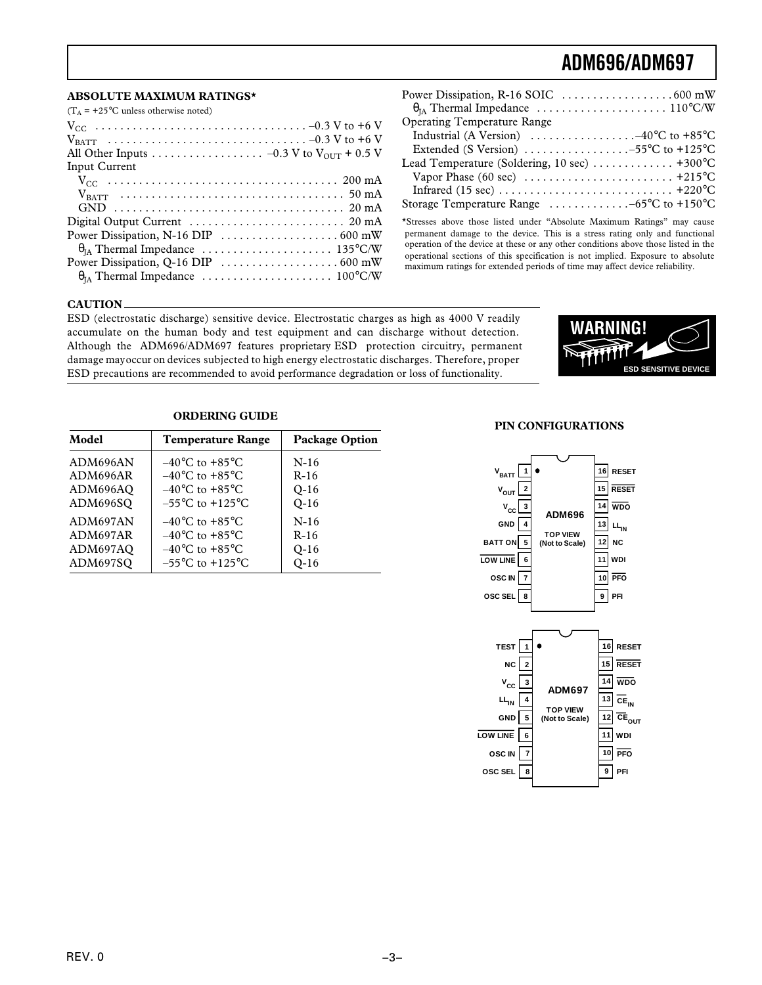#### **ABSOLUTE MAXIMUM RATINGS\***

| <b>Operating Temperature Range</b>                                                                                                                     |
|--------------------------------------------------------------------------------------------------------------------------------------------------------|
| Industrial (A Version) $\ldots \ldots \ldots \ldots \ldots -40^{\circ}C$ to +85°C                                                                      |
| Extended (S Version) $\ldots \ldots \ldots \ldots \ldots -55$ °C to +125°C                                                                             |
| Lead Temperature (Soldering, 10 sec)  +300°C                                                                                                           |
| Vapor Phase (60 sec) $\dots \dots \dots \dots \dots \dots \dots \dots +215$ °C                                                                         |
|                                                                                                                                                        |
| Storage Temperature Range $\dots \dots \dots \dots -65$ °C to +150°C                                                                                   |
| *Stresses above those listed under "Absolute Maximum Ratings" may cause<br>permanent damage to the device. This is a stress rating only and functional |

operation of the device at these or any other conditions above those listed in the operational sections of this specification is not implied. Exposure to absolute maximum ratings for extended periods of time may affect device reliability.

#### **CAUTION**

ESD (electrostatic discharge) sensitive device. Electrostatic charges as high as 4000 V readily accumulate on the human body and test equipment and can discharge without detection. Although the ADM696/ADM697 features proprietary ESD protection circuitry, permanent damage may occur on devices subjected to high energy electrostatic discharges. Therefore, proper ESD precautions are recommended to avoid performance degradation or loss of functionality.



#### **ORDERING GUIDE**

| Model    | <b>Temperature Range</b>            | <b>Package Option</b> |
|----------|-------------------------------------|-----------------------|
| ADM696AN | $-40^{\circ}$ C to $+85^{\circ}$ C  | $N-16$                |
| ADM696AR | $-40^{\circ}$ C to $+85^{\circ}$ C  | $R-16$                |
| ADM696AO | $-40^{\circ}$ C to $+85^{\circ}$ C  | $O-16$                |
| ADM696SQ | $-55^{\circ}$ C to $+125^{\circ}$ C | $Q-16$                |
| ADM697AN | $-40^{\circ}$ C to $+85^{\circ}$ C  | $N-16$                |
| ADM697AR | $-40^{\circ}$ C to $+85^{\circ}$ C  | $R-16$                |
| ADM697AQ | $-40^{\circ}$ C to $+85^{\circ}$ C  | $Q-16$                |
| ADM697SQ | $-55^{\circ}$ C to $+125^{\circ}$ C | $Q-16$                |

#### **PIN CONFIGURATIONS**



**11 WDI10 PFO 9 PFI**

**6 7 8**

**OSC IN OSC SEL**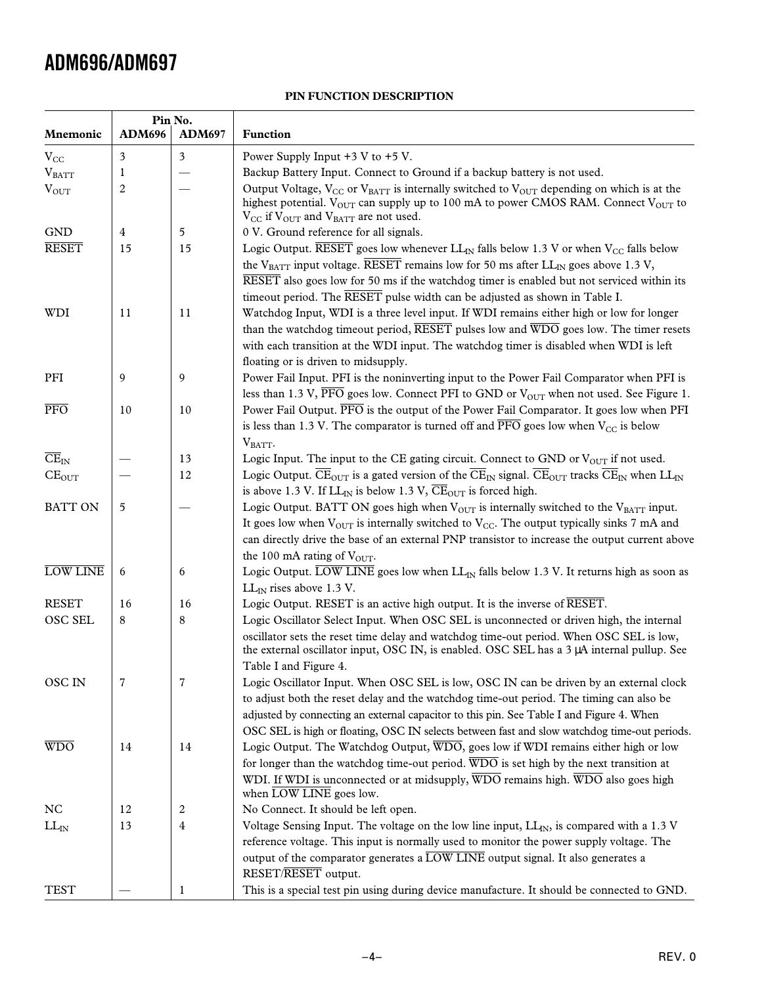### **PIN FUNCTION DESCRIPTION**

| Mnemonic                           | <b>ADM696</b> | Pin No.<br><b>ADM697</b> | Function                                                                                                                                                                                                                                                                                                                       |
|------------------------------------|---------------|--------------------------|--------------------------------------------------------------------------------------------------------------------------------------------------------------------------------------------------------------------------------------------------------------------------------------------------------------------------------|
|                                    |               |                          |                                                                                                                                                                                                                                                                                                                                |
| $V_{CC}$                           | 3<br>1        | $\mathfrak{Z}$           | Power Supply Input $+3$ V to $+5$ V.<br>Backup Battery Input. Connect to Ground if a backup battery is not used.                                                                                                                                                                                                               |
| $V_{BATT}$                         | 2             |                          | Output Voltage, $V_{CC}$ or $V_{BATT}$ is internally switched to $V_{OUT}$ depending on which is at the                                                                                                                                                                                                                        |
| $V_{OUT}$                          |               |                          | highest potential. $V_{\text{OUT}}$ can supply up to 100 mA to power CMOS RAM. Connect $V_{\text{OUT}}$ to<br>$V_{\text{CC}}$ if $V_{\text{OUT}}$ and $V_{\text{BATT}}$ are not used.                                                                                                                                          |
| <b>GND</b>                         | 4             | 5                        | 0 V. Ground reference for all signals.                                                                                                                                                                                                                                                                                         |
| <b>RESET</b>                       | 15            | 15                       | Logic Output. RESET goes low whenever $LL_{IN}$ falls below 1.3 V or when $V_{CC}$ falls below                                                                                                                                                                                                                                 |
|                                    |               |                          | the V <sub>BATT</sub> input voltage. RESET remains low for 50 ms after LL <sub>IN</sub> goes above 1.3 V,<br>RESET also goes low for 50 ms if the watchdog timer is enabled but not serviced within its<br>timeout period. The RESET pulse width can be adjusted as shown in Table I.                                          |
| WDI                                | 11            | 11                       | Watchdog Input, WDI is a three level input. If WDI remains either high or low for longer<br>than the watchdog timeout period, RESET pulses low and WDO goes low. The timer resets<br>with each transition at the WDI input. The watchdog timer is disabled when WDI is left<br>floating or is driven to midsupply.             |
| PFI                                | 9             | 9                        | Power Fail Input. PFI is the noninverting input to the Power Fail Comparator when PFI is                                                                                                                                                                                                                                       |
|                                    |               |                          | less than 1.3 V, PFO goes low. Connect PFI to GND or $V_{\text{OUT}}$ when not used. See Figure 1.                                                                                                                                                                                                                             |
| $\overline{\text{PFO}}$            | 10            | 10                       | Power Fail Output. PFO is the output of the Power Fail Comparator. It goes low when PFI                                                                                                                                                                                                                                        |
|                                    |               |                          | is less than 1.3 V. The comparator is turned off and $\overline{PFO}$ goes low when $V_{CC}$ is below                                                                                                                                                                                                                          |
|                                    |               |                          | $V_{BATT}$ .                                                                                                                                                                                                                                                                                                                   |
| $\overline{\text{CE}}_{\text{IN}}$ |               | 13                       | Logic Input. The input to the CE gating circuit. Connect to GND or $V_{\text{OUT}}$ if not used.                                                                                                                                                                                                                               |
| $CE_{OUT}$                         |               | 12                       | Logic Output. $\overline{\text{CE}}_{\text{OUT}}$ is a gated version of the $\overline{\text{CE}}_{\text{IN}}$ signal. $\overline{\text{CE}}_{\text{OUT}}$ tracks $\overline{\text{CE}}_{\text{IN}}$ when $\text{LL}_{\text{IN}}$<br>is above 1.3 V. If $LL_{IN}$ is below 1.3 V, $\overline{\text{CE}}_{OUT}$ is forced high. |
| <b>BATT ON</b>                     | 5             |                          | Logic Output. BATT ON goes high when $V_{OUT}$ is internally switched to the $V_{BAT}$ input.<br>It goes low when $V_{\text{OUT}}$ is internally switched to $V_{\text{CC}}$ . The output typically sinks 7 mA and<br>can directly drive the base of an external PNP transistor to increase the output current above           |
|                                    |               |                          | the 100 mA rating of $V_{\text{OUT}}$ .                                                                                                                                                                                                                                                                                        |
| LOW LINE                           | 6             | 6                        | Logic Output. LOW LINE goes low when LL <sub>IN</sub> falls below 1.3 V. It returns high as soon as<br>$LL_{IN}$ rises above 1.3 V.                                                                                                                                                                                            |
| <b>RESET</b>                       | 16            | 16                       | Logic Output. RESET is an active high output. It is the inverse of RESET.                                                                                                                                                                                                                                                      |
| OSC SEL                            | 8             | 8                        | Logic Oscillator Select Input. When OSC SEL is unconnected or driven high, the internal<br>oscillator sets the reset time delay and watchdog time-out period. When OSC SEL is low,<br>the external oscillator input, OSC IN, is enabled. OSC SEL has a 3 µA internal pullup. See                                               |
|                                    | 7             | 7                        | Table I and Figure 4.                                                                                                                                                                                                                                                                                                          |
| <b>OSCIN</b>                       |               |                          | Logic Oscillator Input. When OSC SEL is low, OSC IN can be driven by an external clock<br>to adjust both the reset delay and the watchdog time-out period. The timing can also be                                                                                                                                              |
|                                    |               |                          | adjusted by connecting an external capacitor to this pin. See Table I and Figure 4. When                                                                                                                                                                                                                                       |
|                                    |               |                          |                                                                                                                                                                                                                                                                                                                                |
| WDO                                | 14            | 14                       | OSC SEL is high or floating, OSC IN selects between fast and slow watchdog time-out periods.<br>Logic Output. The Watchdog Output, WDO, goes low if WDI remains either high or low                                                                                                                                             |
|                                    |               |                          | for longer than the watchdog time-out period. $\overline{WDO}$ is set high by the next transition at                                                                                                                                                                                                                           |
|                                    |               |                          | WDI. If WDI is unconnected or at midsupply, WDO remains high. WDO also goes high<br>when LOW LINE goes low.                                                                                                                                                                                                                    |
| NC.                                | 12            | 2                        | No Connect. It should be left open.                                                                                                                                                                                                                                                                                            |
| $LL_{IN}$                          | 13            | 4                        | Voltage Sensing Input. The voltage on the low line input, $LI_{IN}$ , is compared with a 1.3 V                                                                                                                                                                                                                                 |
|                                    |               |                          | reference voltage. This input is normally used to monitor the power supply voltage. The                                                                                                                                                                                                                                        |
|                                    |               |                          | output of the comparator generates a LOW LINE output signal. It also generates a<br>RESET/RESET output.                                                                                                                                                                                                                        |
| <b>TEST</b>                        |               | $\mathbf{1}$             | This is a special test pin using during device manufacture. It should be connected to GND.                                                                                                                                                                                                                                     |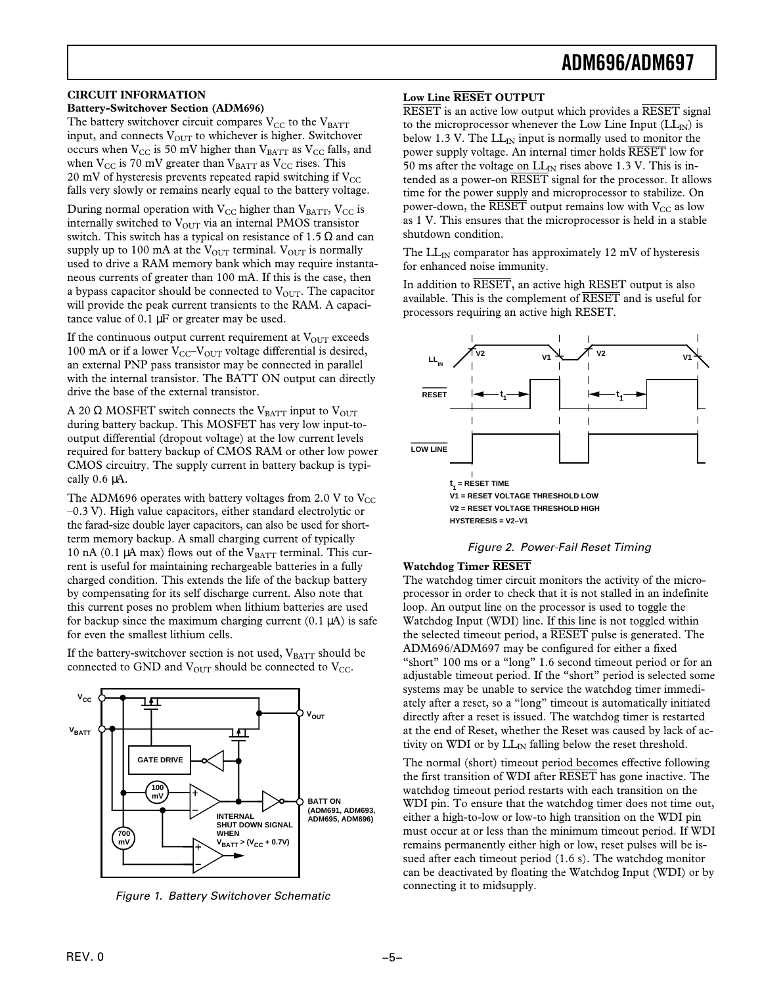#### **CIRCUIT INFORMATION**

#### **Battery-Switchover Section (ADM696)**

The battery switchover circuit compares  $V_{CC}$  to the  $V_{BATT}$ input, and connects  $V_{OUT}$  to whichever is higher. Switchover occurs when  $V_{CC}$  is 50 mV higher than  $V_{BATT}$  as  $V_{CC}$  falls, and when  $V_{CC}$  is 70 mV greater than  $V_{BATT}$  as  $V_{CC}$  rises. This 20 mV of hysteresis prevents repeated rapid switching if  $V_{CC}$ falls very slowly or remains nearly equal to the battery voltage.

During normal operation with  $V_{CC}$  higher than  $V_{BATT}$ ,  $V_{CC}$  is internally switched to  $V_{\text{OUT}}$  via an internal PMOS transistor switch. This switch has a typical on resistance of 1.5  $Ω$  and can supply up to 100 mA at the  $V_{\text{OUT}}$  terminal.  $V_{\text{OUT}}$  is normally used to drive a RAM memory bank which may require instantaneous currents of greater than 100 mA. If this is the case, then a bypass capacitor should be connected to  $V_{\text{OUT}}$ . The capacitor will provide the peak current transients to the RAM. A capacitance value of 0.1 µF or greater may be used.

If the continuous output current requirement at  $V_{OUT}$  exceeds 100 mA or if a lower  $V_{CC}-V_{OUT}$  voltage differential is desired, an external PNP pass transistor may be connected in parallel with the internal transistor. The BATT ON output can directly drive the base of the external transistor.

A 20  $\Omega$  MOSFET switch connects the V<sub>BATT</sub> input to V<sub>OUT</sub> during battery backup. This MOSFET has very low input-tooutput differential (dropout voltage) at the low current levels required for battery backup of CMOS RAM or other low power CMOS circuitry. The supply current in battery backup is typically 0.6 µA.

The ADM696 operates with battery voltages from 2.0 V to  $V_{\text{CC}}$ –0.3 V). High value capacitors, either standard electrolytic or the farad-size double layer capacitors, can also be used for shortterm memory backup. A small charging current of typically 10 nA (0.1  $\mu$ A max) flows out of the VBATT terminal. This current is useful for maintaining rechargeable batteries in a fully charged condition. This extends the life of the backup battery by compensating for its self discharge current. Also note that this current poses no problem when lithium batteries are used for backup since the maximum charging current  $(0.1 \mu A)$  is safe for even the smallest lithium cells.

If the battery-switchover section is not used,  $V_{BATT}$  should be connected to GND and  $V_{\text{OUT}}$  should be connected to  $V_{\text{CC}}$ .



Figure 1. Battery Switchover Schematic

#### **Low Line RESET OUTPUT**

RESET is an active low output which provides a RESET signal to the microprocessor whenever the Low Line Input  $(LL_N)$  is below 1.3 V. The  $LL_{IN}$  input is normally used to monitor the power supply voltage. An internal timer holds RESET low for 50 ms after the voltage on  $LL_{IN}$  rises above 1.3 V. This is intended as a power-on RESET signal for the processor. It allows time for the power supply and microprocessor to stabilize. On power-down, the  $\overline{\text{RESET}}$  output remains low with  $V_{CC}$  as low as 1 V. This ensures that the microprocessor is held in a stable shutdown condition.

The  $LL_{\text{IN}}$  comparator has approximately 12 mV of hysteresis for enhanced noise immunity.

In addition to RESET, an active high RESET output is also available. This is the complement of RESET and is useful for processors requiring an active high RESET.



Figure 2. Power-Fail Reset Timing

#### **Watchdog Timer RESET**

The watchdog timer circuit monitors the activity of the microprocessor in order to check that it is not stalled in an indefinite loop. An output line on the processor is used to toggle the Watchdog Input (WDI) line. If this line is not toggled within the selected timeout period, a  $\overline{\text{RESET}}$  pulse is generated. The ADM696/ADM697 may be configured for either a fixed "short" 100 ms or a "long" 1.6 second timeout period or for an adjustable timeout period. If the "short" period is selected some systems may be unable to service the watchdog timer immediately after a reset, so a "long" timeout is automatically initiated directly after a reset is issued. The watchdog timer is restarted at the end of Reset, whether the Reset was caused by lack of activity on WDI or by  $LL_{IN}$  falling below the reset threshold.

The normal (short) timeout period becomes effective following the first transition of WDI after RESET has gone inactive. The watchdog timeout period restarts with each transition on the WDI pin. To ensure that the watchdog timer does not time out, either a high-to-low or low-to high transition on the WDI pin must occur at or less than the minimum timeout period. If WDI remains permanently either high or low, reset pulses will be issued after each timeout period (1.6 s). The watchdog monitor can be deactivated by floating the Watchdog Input (WDI) or by connecting it to midsupply.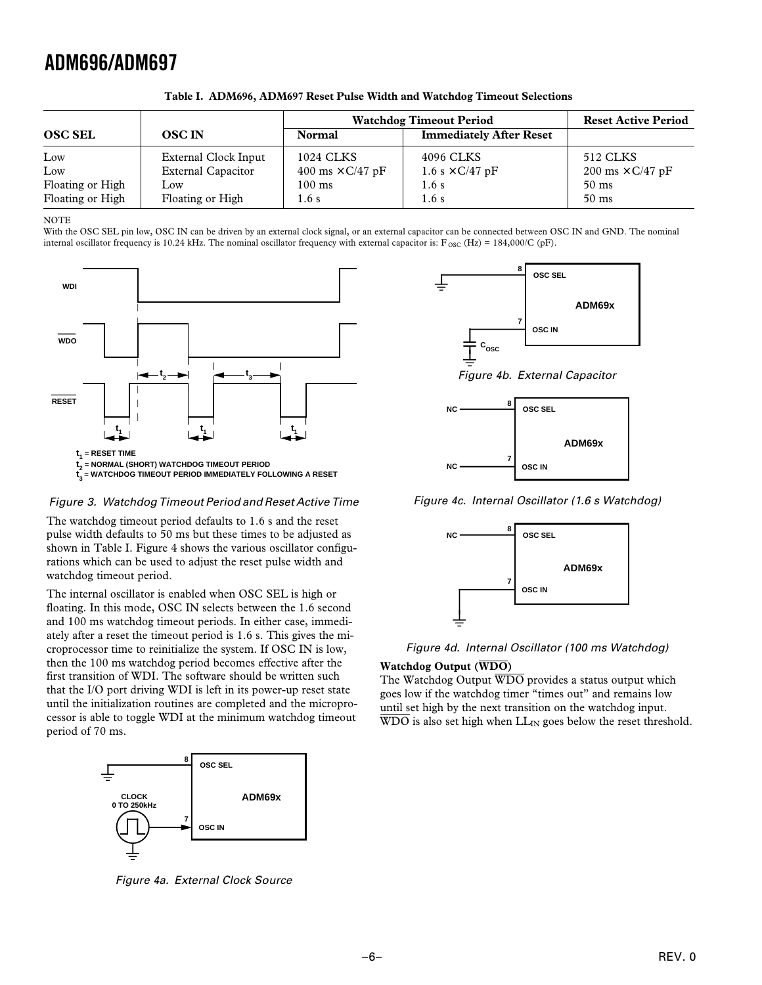|                  |                           | <b>Watchdog Timeout Period</b> | <b>Reset Active Period</b>     |                         |
|------------------|---------------------------|--------------------------------|--------------------------------|-------------------------|
| <b>OSC SEL</b>   | <b>OSCIN</b>              | <b>Normal</b>                  | <b>Immediately After Reset</b> |                         |
| Low              | External Clock Input      | 1024 CLKS                      | 4096 CLKS                      | 512 CLKS                |
| Low              | <b>External Capacitor</b> | 400 ms $\times$ C/47 pF        | 1.6 s $\times$ C/47 pF         | 200 ms $\times$ C/47 pF |
| Floating or High | Low                       | $100 \text{ ms}$               | 1.6s                           | $50 \text{ ms}$         |
| Floating or High | Floating or High          | 1.6s                           | 1.6s                           | $50 \text{ ms}$         |

**Table I. ADM696, ADM697 Reset Pulse Width and Watchdog Timeout Selections**

NOTE

With the OSC SEL pin low, OSC IN can be driven by an external clock signal, or an external capacitor can be connected between OSC IN and GND. The nominal internal oscillator frequency is 10.24 kHz. The nominal oscillator frequency with external capacitor is:  $F_{\text{osc}}(Hz) = 184,000/C$  (pF).



Figure 3. Watchdog Timeout Period and Reset Active Time

The watchdog timeout period defaults to 1.6 s and the reset pulse width defaults to 50 ms but these times to be adjusted as shown in Table I. Figure 4 shows the various oscillator configurations which can be used to adjust the reset pulse width and watchdog timeout period.

The internal oscillator is enabled when OSC SEL is high or floating. In this mode, OSC IN selects between the 1.6 second and 100 ms watchdog timeout periods. In either case, immediately after a reset the timeout period is 1.6 s. This gives the microprocessor time to reinitialize the system. If OSC IN is low, then the 100 ms watchdog period becomes effective after the first transition of WDI. The software should be written such that the I/O port driving WDI is left in its power-up reset state until the initialization routines are completed and the microprocessor is able to toggle WDI at the minimum watchdog timeout period of 70 ms.



Figure 4a. External Clock Source



Figure 4b. External Capacitor



Figure 4c. Internal Oscillator (1.6 s Watchdog)



### Figure 4d. Internal Oscillator (100 ms Watchdog)

#### **Watchdog Output (WDO)**

The Watchdog Output  $\overline{WDO}$  provides a status output which goes low if the watchdog timer "times out" and remains low until set high by the next transition on the watchdog input.  $\overline{WDO}$  is also set high when  $LL_{IN}$  goes below the reset threshold.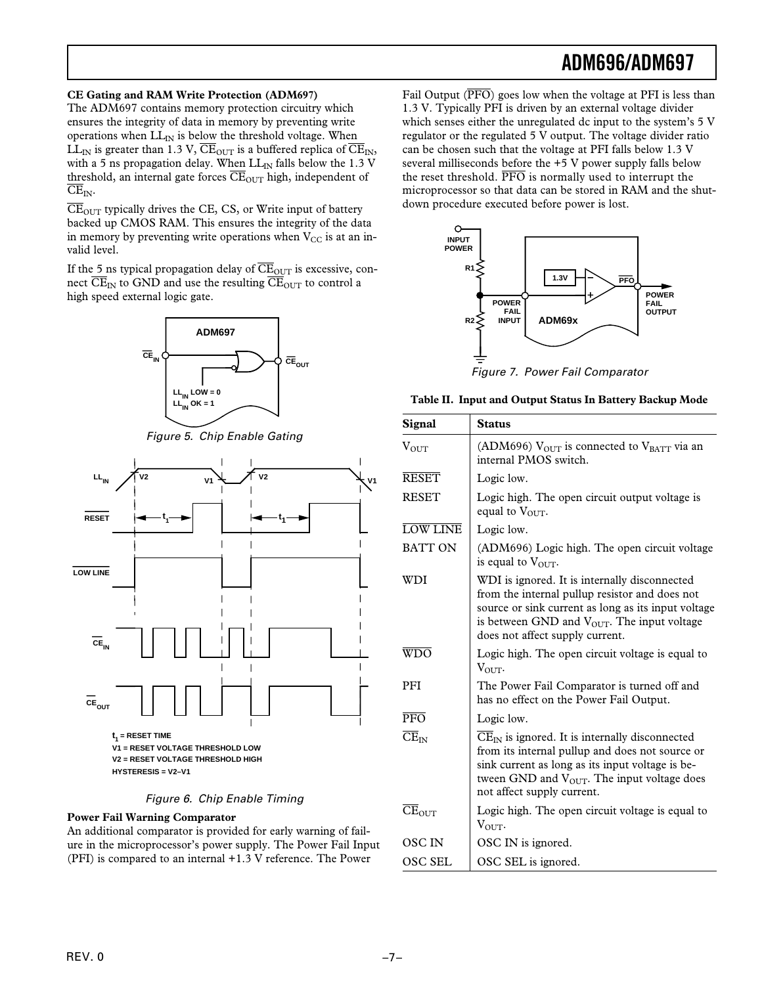#### **CE Gating and RAM Write Protection (ADM697)**

The ADM697 contains memory protection circuitry which ensures the integrity of data in memory by preventing write operations when  $LL_{IN}$  is below the threshold voltage. When LL<sub>IN</sub> is greater than 1.3 V,  $\overline{\text{CE}}_{\text{OUT}}$  is a buffered replica of  $\overline{\text{CE}}_{\text{IN}}$ , with a 5 ns propagation delay. When  $LL_{IN}$  falls below the 1.3 V threshold, an internal gate forces  $\overline{\text{CE}}_{\text{OUT}}$  high, independent of  $\overline{\text{CE}}_{\text{IN}}$ .

 $\overline{\text{CE}}_{\text{OUT}}$  typically drives the CE, CS, or Write input of battery backed up CMOS RAM. This ensures the integrity of the data in memory by preventing write operations when  $V_{CC}$  is at an invalid level.

If the 5 ns typical propagation delay of  $\overline{\text{CE}}_{\text{OUT}}$  is excessive, connect  $\overline{\text{CE}}_{\text{IN}}$  to GND and use the resulting  $\overline{\text{CE}}_{\text{OUT}}$  to control a high speed external logic gate.







#### Figure 6. Chip Enable Timing

#### **Power Fail Warning Comparator**

An additional comparator is provided for early warning of failure in the microprocessor's power supply. The Power Fail Input (PFI) is compared to an internal +1.3 V reference. The Power

Fail Output  $(\overline{PFO})$  goes low when the voltage at PFI is less than 1.3 V. Typically PFI is driven by an external voltage divider which senses either the unregulated dc input to the system's 5 V regulator or the regulated 5 V output. The voltage divider ratio can be chosen such that the voltage at PFI falls below 1.3 V several milliseconds before the +5 V power supply falls below the reset threshold.  $\overline{PFO}$  is normally used to interrupt the microprocessor so that data can be stored in RAM and the shutdown procedure executed before power is lost.



Figure 7. Power Fail Comparator

| <b>Signal</b>                      | <b>Status</b>                                                                                                                                                                                                                                                                |
|------------------------------------|------------------------------------------------------------------------------------------------------------------------------------------------------------------------------------------------------------------------------------------------------------------------------|
| $V_{\rm OIII}$                     | (ADM696) $V_{OUT}$ is connected to $V_{BATT}$ via an<br>internal PMOS switch.                                                                                                                                                                                                |
| <b>RESET</b>                       | Logic low.                                                                                                                                                                                                                                                                   |
| <b>RESET</b>                       | Logic high. The open circuit output voltage is<br>equal to $V_{\text{OUT}}$ .                                                                                                                                                                                                |
| <b>LOW LINE</b>                    | Logic low.                                                                                                                                                                                                                                                                   |
| <b>BATT ON</b>                     | (ADM696) Logic high. The open circuit voltage<br>is equal to $V_{\text{OUT}}$ .                                                                                                                                                                                              |
| WDI                                | WDI is ignored. It is internally disconnected<br>from the internal pullup resistor and does not<br>source or sink current as long as its input voltage<br>is between GND and $V_{\text{OUT}}$ . The input voltage<br>does not affect supply current.                         |
| <b>WDO</b>                         | Logic high. The open circuit voltage is equal to<br>$V_{\text{OUT}}$ .                                                                                                                                                                                                       |
| <b>PFI</b>                         | The Power Fail Comparator is turned off and<br>has no effect on the Power Fail Output.                                                                                                                                                                                       |
| $\overline{\text{PFO}}$            | Logic low.                                                                                                                                                                                                                                                                   |
| $\overline{\text{CE}}_{\text{IN}}$ | $\overline{\text{CE}}_{\text{IN}}$ is ignored. It is internally disconnected<br>from its internal pullup and does not source or<br>sink current as long as its input voltage is be-<br>tween GND and $V_{\text{OUT}}$ . The input voltage does<br>not affect supply current. |
| $CE_{OUT}$                         | Logic high. The open circuit voltage is equal to<br>$V_{\text{OUT}}$ .                                                                                                                                                                                                       |
| <b>OSCIN</b>                       | OSC IN is ignored.                                                                                                                                                                                                                                                           |
| <b>OSC SEL</b>                     | OSC SEL is ignored.                                                                                                                                                                                                                                                          |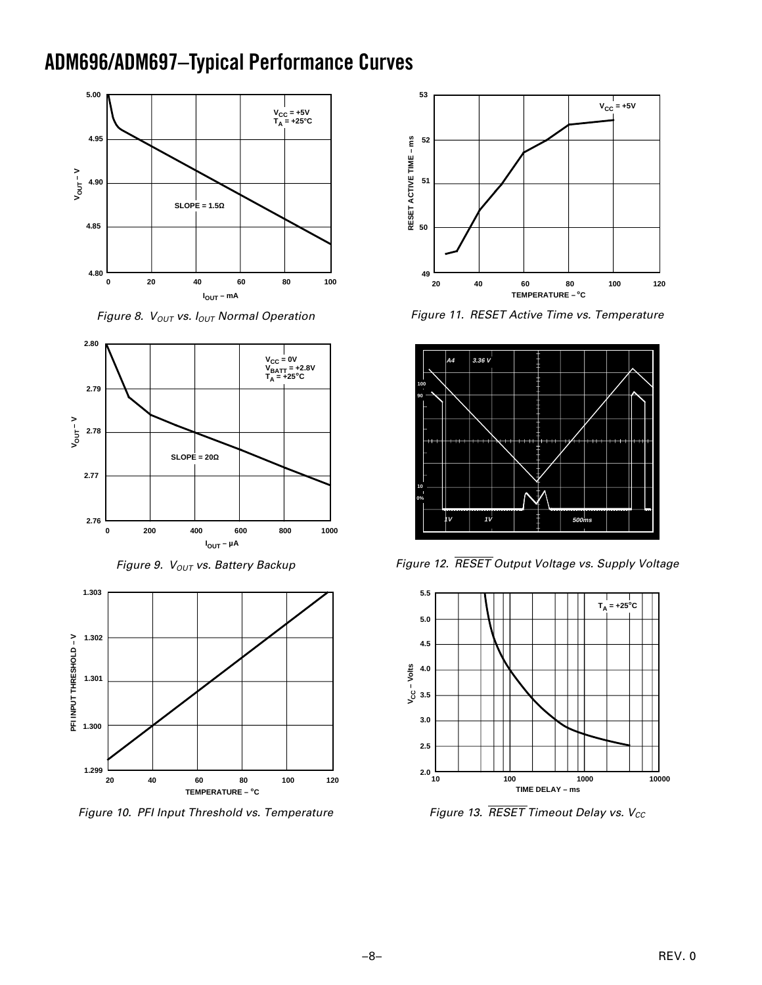## **ADM696/ADM697–Typical Performance Curves**



Figure 8.  $V_{OUT}$  vs.  $I_{OUT}$  Normal Operation



Figure 9.  $V_{OUT}$  vs. Battery Backup



Figure 10. PFI Input Threshold vs. Temperature



Figure 11. RESET Active Time vs. Temperature



*Figure 12. RESET Output Voltage vs. Supply Voltage*



*Figure 13. RESET Timeout Delay vs.*  $V_{CC}$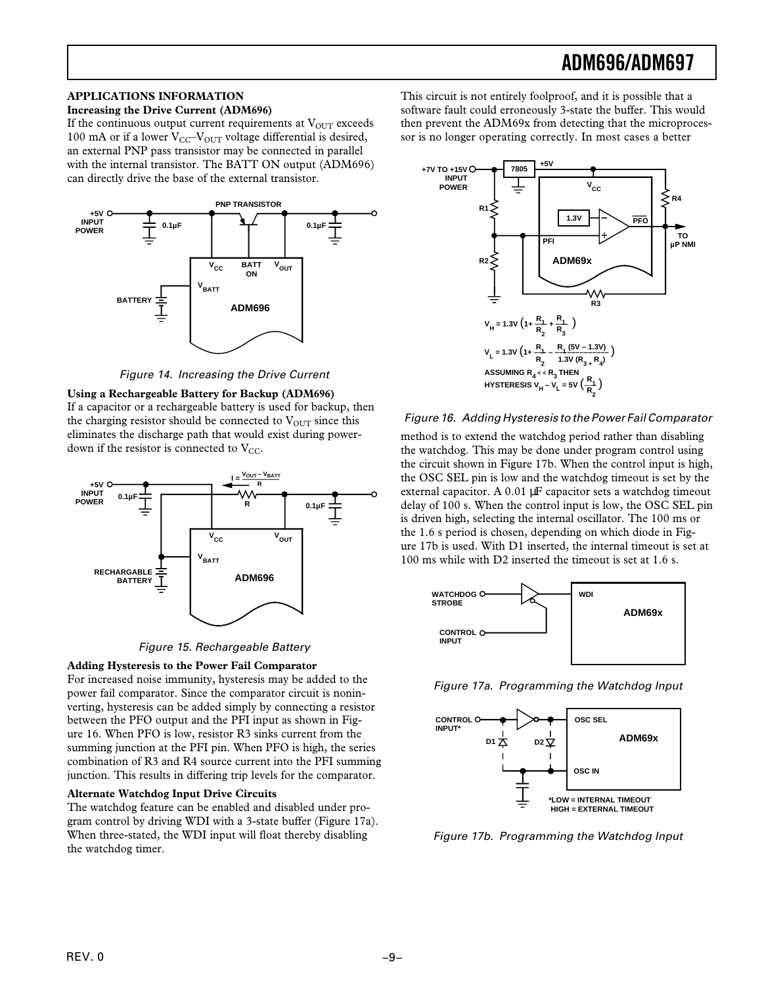#### **APPLICATIONS INFORMATION**

#### **Increasing the Drive Current (ADM696)**

If the continuous output current requirements at  $V_{OUT}$  exceeds 100 mA or if a lower  $V_{CC}$ - $V_{OUT}$  voltage differential is desired, an external PNP pass transistor may be connected in parallel with the internal transistor. The BATT ON output (ADM696) can directly drive the base of the external transistor.



Figure 14. Increasing the Drive Current

**Using a Rechargeable Battery for Backup (ADM696)** If a capacitor or a rechargeable battery is used for backup, then the charging resistor should be connected to  $V_{\text{OUT}}$  since this eliminates the discharge path that would exist during powerdown if the resistor is connected to  $V_{CC}$ .





**Adding Hysteresis to the Power Fail Comparator**

For increased noise immunity, hysteresis may be added to the power fail comparator. Since the comparator circuit is noninverting, hysteresis can be added simply by connecting a resistor between the PFO output and the PFI input as shown in Figure 16. When PFO is low, resistor R3 sinks current from the summing junction at the PFI pin. When PFO is high, the series combination of R3 and R4 source current into the PFI summing junction. This results in differing trip levels for the comparator.

#### **Alternate Watchdog Input Drive Circuits**

The watchdog feature can be enabled and disabled under program control by driving WDI with a 3-state buffer (Figure 17a). When three-stated, the WDI input will float thereby disabling the watchdog timer.

This circuit is not entirely foolproof, and it is possible that a software fault could erroneously 3-state the buffer. This would then prevent the ADM69x from detecting that the microprocessor is no longer operating correctly. In most cases a better



#### Figure 16. Adding Hysteresis to the Power Fail Comparator

method is to extend the watchdog period rather than disabling the watchdog. This may be done under program control using the circuit shown in Figure 17b. When the control input is high, the OSC SEL pin is low and the watchdog timeout is set by the external capacitor. A 0.01 µF capacitor sets a watchdog timeout delay of 100 s. When the control input is low, the OSC SEL pin is driven high, selecting the internal oscillator. The 100 ms or the 1.6 s period is chosen, depending on which diode in Figure 17b is used. With D1 inserted, the internal timeout is set at 100 ms while with D2 inserted the timeout is set at 1.6 s.



Figure 17a. Programming the Watchdog Input



Figure 17b. Programming the Watchdog Input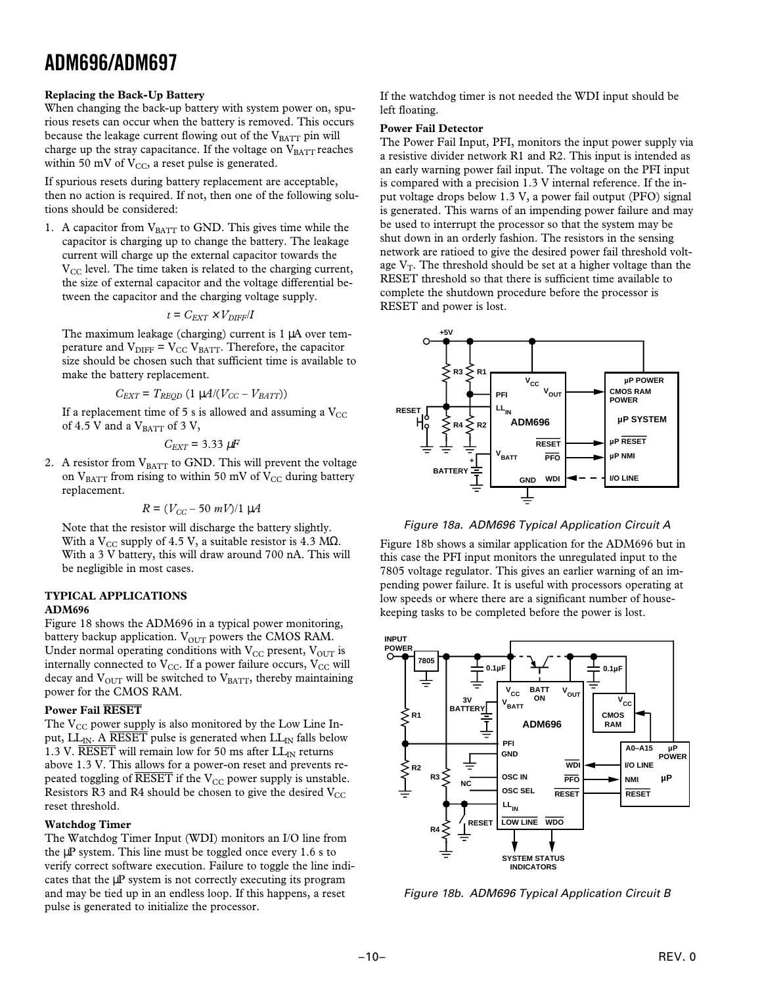#### **Replacing the Back-Up Battery**

When changing the back-up battery with system power on, spurious resets can occur when the battery is removed. This occurs because the leakage current flowing out of the  $V_{BATT}$  pin will charge up the stray capacitance. If the voltage on  $V_{BATT}$  reaches within 50 mV of  $V_{CC}$ , a reset pulse is generated.

If spurious resets during battery replacement are acceptable, then no action is required. If not, then one of the following solutions should be considered:

1. A capacitor from  $V_{BATT}$  to GND. This gives time while the capacitor is charging up to change the battery. The leakage current will charge up the external capacitor towards the  $V_{\text{CC}}$  level. The time taken is related to the charging current, the size of external capacitor and the voltage differential between the capacitor and the charging voltage supply.

$$
t = C_{EXT} \times V_{DIFF}/I
$$

The maximum leakage (charging) current is 1 µA over temperature and  $\rm V_{\rm DIFF}$  =  $\rm V_{\rm CC}$  V $\rm _{BATT}$  . Therefore, the capacitor size should be chosen such that sufficient time is available to make the battery replacement.

$$
C_{EXT} = T_{REQD} (1 \mu A / (V_{CC} - V_{BAT}))
$$

If a replacement time of 5 s is allowed and assuming a  $V_{\text{CC}}$ of 4.5 V and a  $V_{\text{BATT}}$  of 3 V,

$$
C_{EXT}=3.33 \ \mu F
$$

2. A resistor from  $V_{BATT}$  to GND. This will prevent the voltage on  $V_{BAT}$  from rising to within 50 mV of  $V_{CC}$  during battery replacement.

$$
R = (V_{CC} - 50 \ mV)/1 \ \mu A
$$

Note that the resistor will discharge the battery slightly. With a V<sub>CC</sub> supply of 4.5 V, a suitable resistor is 4.3 MQ. With a 3 V battery, this will draw around 700 nA. This will be negligible in most cases.

### **TYPICAL APPLICATIONS**

#### **ADM696**

Figure 18 shows the ADM696 in a typical power monitoring, battery backup application.  $V_{\text{OUT}}$  powers the CMOS RAM. Under normal operating conditions with  $V_{CC}$  present,  $V_{OUT}$  is internally connected to  $V_{CC}$ . If a power failure occurs,  $V_{CC}$  will decay and  $V_{\text{OUT}}$  will be switched to  $V_{\text{BAT}}$ , thereby maintaining power for the CMOS RAM.

#### **Power Fail RESET**

The  $V_{CC}$  power supply is also monitored by the Low Line Input, LL<sub>IN</sub>. A RESET pulse is generated when  $LL_{IN}$  falls below 1.3 V. RESET will remain low for 50 ms after  $LL_{IN}$  returns above 1.3 V. This allows for a power-on reset and prevents repeated toggling of  $\overline{\text{RESET}}$  if the V<sub>CC</sub> power supply is unstable. Resistors R3 and R4 should be chosen to give the desired  $V_{CC}$ reset threshold.

#### **Watchdog Timer**

The Watchdog Timer Input (WDI) monitors an I/O line from the  $\mu$ P system. This line must be toggled once every 1.6 s to verify correct software execution. Failure to toggle the line indicates that the µP system is not correctly executing its program and may be tied up in an endless loop. If this happens, a reset pulse is generated to initialize the processor.

If the watchdog timer is not needed the WDI input should be left floating.

#### **Power Fail Detector**

The Power Fail Input, PFI, monitors the input power supply via a resistive divider network R1 and R2. This input is intended as an early warning power fail input. The voltage on the PFI input is compared with a precision 1.3 V internal reference. If the input voltage drops below 1.3 V, a power fail output (PFO) signal is generated. This warns of an impending power failure and may be used to interrupt the processor so that the system may be shut down in an orderly fashion. The resistors in the sensing network are ratioed to give the desired power fail threshold voltage  $V_T$ . The threshold should be set at a higher voltage than the RESET threshold so that there is sufficient time available to complete the shutdown procedure before the processor is RESET and power is lost.



Figure 18a. ADM696 Typical Application Circuit A

Figure 18b shows a similar application for the ADM696 but in this case the PFI input monitors the unregulated input to the 7805 voltage regulator. This gives an earlier warning of an impending power failure. It is useful with processors operating at low speeds or where there are a significant number of housekeeping tasks to be completed before the power is lost.



Figure 18b. ADM696 Typical Application Circuit B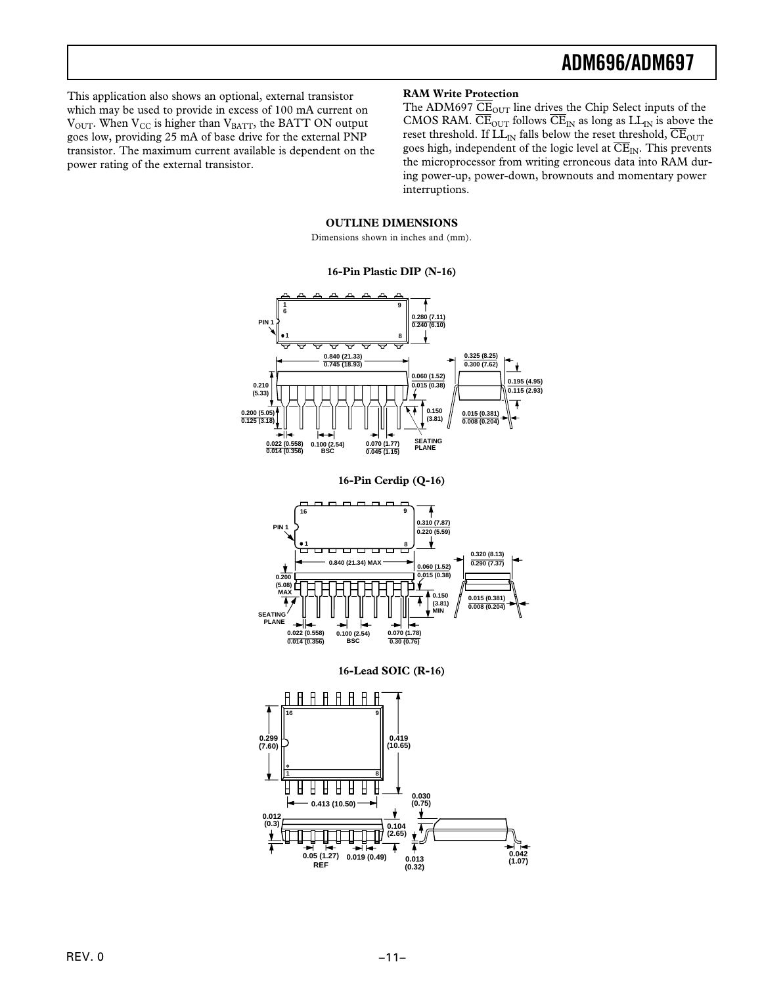This application also shows an optional, external transistor which may be used to provide in excess of 100 mA current on  $V<sub>OUT</sub>$ . When  $V<sub>CC</sub>$  is higher than  $V<sub>BATT</sub>$ , the BATT ON output goes low, providing 25 mA of base drive for the external PNP transistor. The maximum current available is dependent on the power rating of the external transistor.

#### **RAM Write Protection**

The ADM697  $\overline{\text{CE}}_{\text{OUT}}$  line drives the Chip Select inputs of the CMOS RAM.  $\overline{\text{CE}}_{\text{OUT}}$  follows  $\overline{\text{CE}}_{\text{IN}}$  as long as  $LL_{\text{IN}}$  is above the reset threshold. If  $LL_{IN}$  falls below the reset threshold,  $\overline{\text{CE}}_{OUT}$ goes high, independent of the logic level at  $\overline{\text{CE}}_{\text{IN}}$ . This prevents the microprocessor from writing erroneous data into RAM during power-up, power-down, brownouts and momentary power interruptions.

#### **OUTLINE DIMENSIONS**

Dimensions shown in inches and (mm).

#### **16-Pin Plastic DIP (N-16)**







**16-Lead SOIC (R-16)**